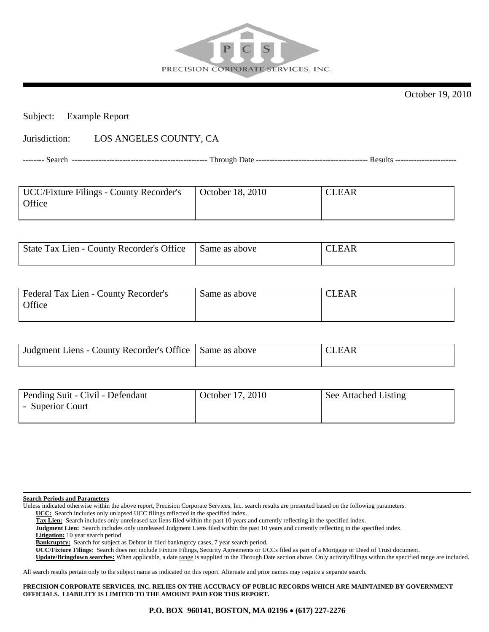

October 19, 2010

## Subject: Example Report

## Jurisdiction: LOS ANGELES COUNTY, CA

-------- Search --------------------------------------------------- Through Date ------------------------------------------ Results -----------------------

| UCC/Fixture Filings - County Recorder's | October 18, 2010 | <b>CLEAR</b> |
|-----------------------------------------|------------------|--------------|
| Office                                  |                  |              |
|                                         |                  |              |

| State Tax Lien - County Recorder's Office | Same as above | CLEAR |
|-------------------------------------------|---------------|-------|
|                                           |               |       |

| Federal Tax Lien - County Recorder's | Same as above | <b>CLEAR</b> |
|--------------------------------------|---------------|--------------|
| Office                               |               |              |
|                                      |               |              |

| Judgment Liens - County Recorder's Office   Same as above | CIFAR |
|-----------------------------------------------------------|-------|
|                                                           |       |

| Pending Suit - Civil - Defendant | October 17, 2010 | See Attached Listing |
|----------------------------------|------------------|----------------------|
| - Superior Court                 |                  |                      |
|                                  |                  |                      |

**Search Periods and Parameters**

Unless indicated otherwise within the above report, Precision Corporate Services, Inc. search results are presented based on the following parameters.

 **UCC:** Search includes only unlapsed UCC filings reflected in the specified index.

 **Tax Lien:** Search includes only unreleased tax liens filed within the past 10 years and currently reflecting in the specified index.

 **Judgment Lien:** Search includes only unreleased Judgment Liens filed within the past 10 years and currently reflecting in the specified index.

 **Litigation:** 10 year search period

Bankruptcy: Search for subject as Debtor in filed bankruptcy cases, 7 year search period.

 **UCC/Fixture Filings**: Search does not include Fixture Filings, Security Agreements or UCCs filed as part of a Mortgage or Deed of Trust document.

 **Update/Bringdown searches:** When applicable, a date range is supplied in the Through Date section above. Only activity/filings within the specified range are included.

All search results pertain only to the subject name as indicated on this report. Alternate and prior names may require a separate search.

**PRECISION CORPORATE SERVICES, INC. RELIES ON THE ACCURACY OF PUBLIC RECORDS WHICH ARE MAINTAINED BY GOVERNMENT OFFICIALS. LIABILITY IS LIMITED TO THE AMOUNT PAID FOR THIS REPORT.**